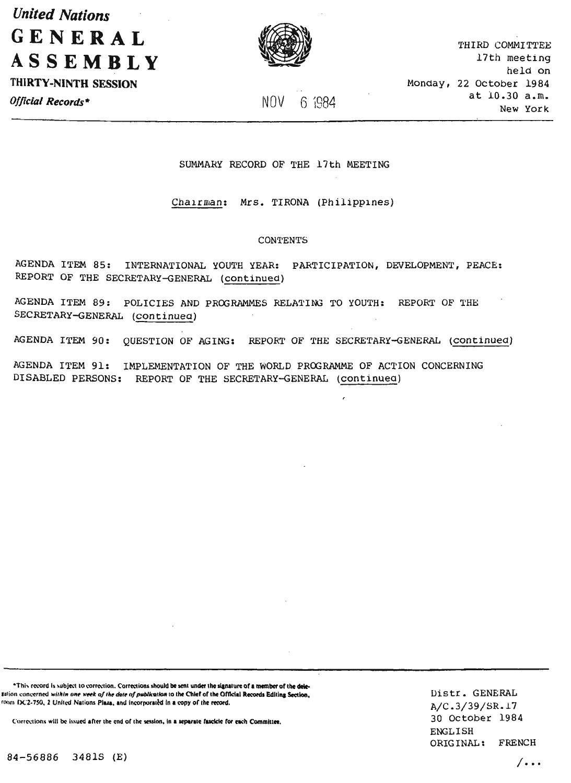*United Nations*  **GENERAL ASSEMBLY** 

THIRTY -NINTH SESSION



THIRD COMMITTEE 17th meeting held on Monday, 22 October 1984 at 10.30 a.m. New York

*Official Records\**  $N0V$  6 1984

# SUMMARY RECORD OF THE 17th MEETING

Chairman: Mrs. TIRONA (Philippines)

#### **CONTENTS**

AGENDA ITEM 85: INTERNATIONAL YOUTH YEAR: PARTICIPATION, DEVELOPMENT, PEACE: REPORT OF THE SECRETARY-GENERAL (continued)

AGENDA ITEM 89: POLICIES AND PROGRAMMES RELATING TO YOUTH: REPORT OF THE SECRETARY-GENERAL (continuea)

AGENDA ITEM 90: QUESTION OF AGING: REPORT OF THE SECRETARY-GENERAL (continued)

 $\overline{\phantom{a}}$ 

AGENDA ITEM 91: IMPLEMENTATION OF THE WORLD PROGRAMME OF ACTION CONCERNING DISABLED PERSONS: REPORT OF THE SECRETARY-GENERAL (continuea)

\*This record is subject to correction. Corrections should be sent under the signature of a member of the deletation concerned within one week of the date of publication to the Chief of the Official Records Editing Section, room IX.'2-750, 2 United Nations Plaza, and incorporated in a copy of the record.

Corrections will be issued after the end of the session, in a separate fascicle for each Committee.

IJistr. GENERAL A/C .3/39/SR.l? 30 October 1984 ENGLISH ORIGINAL: FRENCH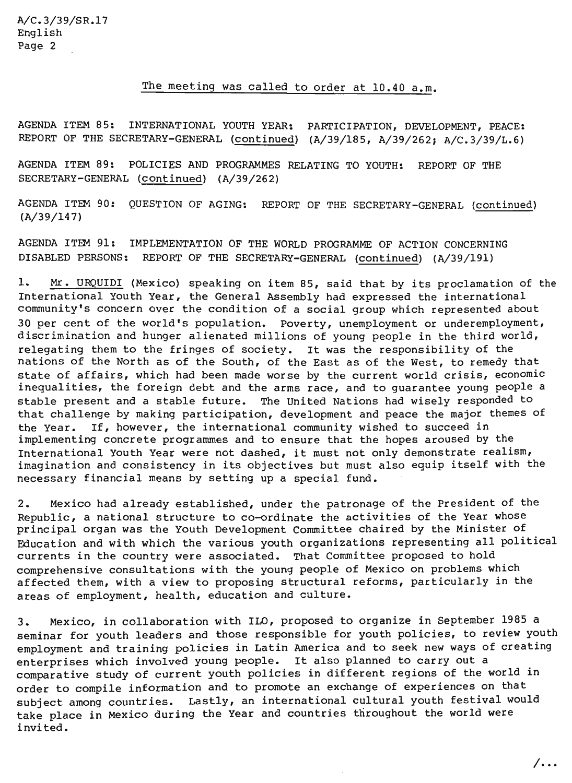The meeting was called to order at 10.40 a.m.

AGENDA ITEM 85: INTERNATIONAL YOUTH YEAR: PARTICIPATION, DEVELOPMENT, PEACE: REPORT OF THE SECRETARY-GENERAL (continued) (A/39/185, A/39/262; A/C.3/39/L.6)

AGENDA ITEM 89: POLICIES AND PROGRAMMES RELATING TO YOUTH: REPORT OF THE SECRETARY-GENERAL (continued) (A/39/262)

AGENDA ITEM *90:* QUESTION OF AGING: REPORT OF THE SECRETARY-GENERAL (continued) (A/39/147)

AGENDA ITEM 91: IMPLEMENTATION OF THE WORLD PROGRAMME OF ACTION CONCERNING DISABLED PERSONS: REPORT OF THE SECRETARY-GENERAL (continued) (A/39/191)

1. Mr. URQUIDI (Mexico) speaking on item 85, said that by its proclamation of the International Youth Year, the General Assembly had expressed the international community's concern over the condition of a social group which represented about 30 per cent of the world's population. Poverty, unemployment or underemployment, discrimination and hunger alienated millions of young people in the third world, relegating them to the fringes of society. It was the responsibility of the nations of the North as of the South, of the East as of the West, to remedy that state of affairs, which had been made worse by the current world crisis, economic inequalities, the foreign debt and the arms race, and to guarantee young people a stable present and a stable future. The united Nations had wisely responded to that challenge by making participation, development and peace the major themes of the Year. If, however, the international community wished to succeed in implementing concrete programmes and to ensure that the hopes aroused by the International Youth Year were not dashed, it must not only demonstrate realism, imagination and consistency in its objectives but must also equip itself with the necessary financial means by setting up a special fund.

2. Mexico had already established, under the patronage of the President of the Republic, a national structure to co-ordinate the activities of the Year whose principal organ was the Youth Development Committee chaired by the Minister of Education and with which the various youth organizations representing all political currents in the country were associated. That Committee proposed to hold comprehensive consultations with the young people of Mexico on problems which affected them, with a view to proposing structural reforms, particularly in the areas of employment, health, education and culture.

3. Mexico, in collaboration with ILO, proposed to organize in September 1985 a seminar for youth leaders and those responsible for youth policies, to review youth employment and training policies in Latin America and to seek new ways of creating enterprises which involved young people. It also planned to carry out a comparative study of current youth policies in different regions of the world in order to compile information and to promote an exchange of experiences on that subject among countries. Lastly, an international cultural youth festival would take place in Mexico during the Year and countries throughout the world were invited.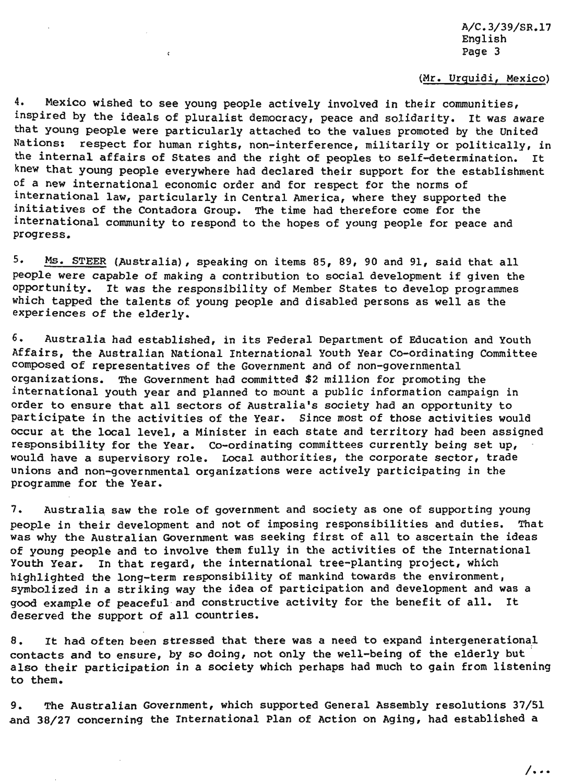# (Mr. Urquidi, Mexico)

4. Mexico wished to see young people actively involved in their communities, inspired by the ideals of pluralist democracy, peace and solidarity. It was aware that young people were particularly attached to the values promoted by the United Nations: respect for human rights, non-interference, militarily or politically, in the internal affairs of States and the right of peoples to self-determination. It knew that young people everywhere had declared their support for the establishment of a new international economic order and for respect for the norms of international law, particularly in Central America, where they supported the initiatives of the Contadora Group. The time had therefore come for the international community to respond to the hopes of young people for peace and progress.

5. Ms. STEER (Australia), speaking on items 85, 89, 90 and 91, said that all people were capable of making a contribution to social development if given the opportunity. It was the responsibility of Member States to develop programmes which tapped the talents of young people and disabled persons as well as the experiences of the elderly.

6. Australia had established, in its Federal Department of Education and Youth Affairs, the Australian National International Youth Year Co-ordinating Committee composed of representatives of the Government and of non-governmental organizations. The Government had committed \$2 million for promoting the international youth year and planned to mount a public information campaign in order to ensure that all sectors of Australia's society had an opportunity to participate in the activities of the Year. Since most of those activities would occur at the local level, a Minister in each state and territory had been assigned responsibility for the Year. Co-ordinating committees currently being set up, would have a supervisory role. Local authorities, the corporate sector, trade unions and non-governmental organizations were actively participating in the programme for the Year.

7. Australia saw the role of government and society as one of supporting young people in their development and not of imposing responsibilities and duties. That was why the Australian Government was seeking first of all to ascertain the ideas of young people and to involve them fully in the activities of the International Youth Year. In that regard, the international tree-planting project, which highlighted the long-term responsibility of mankind towards the environment, symbolized in a striking way the idea of participation and development and was a good example of peaceful and constructive activity for the benefit of all. It deserved the support of all countries.

8. It had often been stressed that there was a need to expand intergenerational contacts and to ensure, by so doing, not only the well-being of the elderly but also their participation in a society which perhaps had much to gain from listening to them.

9. The Australian Government, which supported General Assembly resolutions 37/51 and 38/27 concerning the International Plan of Action on Aging, had established a

/ ...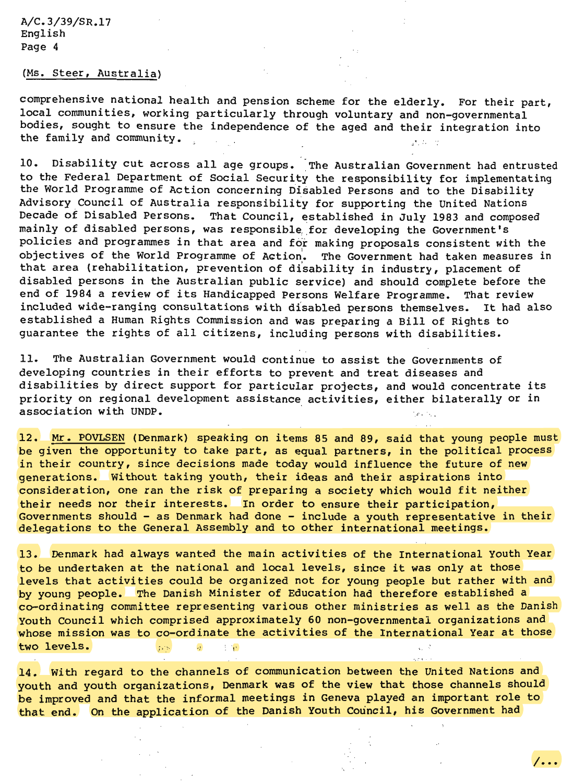### (Ms. Steer, Australia)

comprehensive national health and pension scheme for the elderly. For their part, local communities, working particularly through voluntary and non-governmental bodies, sought to ensure the independence of the aged and their integration into the family and community. きカーゼ

10. Disability cut across all age groups. The Australian Government had entrusted to the Federal Department of Social Security the responsibility for implementating the World Programme of Action concerning Disabled Persons and to the Disability Advisory Council of Australia responsibility for supporting the United Nations Decade of Disabled Persons. That Council, established in July 1983 and composed mainly of disabled persons, was responsible for developing the Government's policies and programmes in that area and for making proposals consistent with the objectives of the World Programme of Action'. The Government had taken measures in that area (rehabilitation, prevention of disability in industry, placement of disabled persons in the Australian public service) and should complete before the end of 1984 a review of its Handicapped Persons Welfare Programme. That review included wide-ranging consultations with disabled persons themselves. It had also established a Human Rights Commission and was preparing a Bill of Rights to guarantee the rights of all citizens, including persons with disabilities.

11. The Australian Government would continue to assist the Governments of developing countries in their efforts to prevent and treat diseases and disabilities by direct support for particular projects, and would concentrate its priority on regional development assistance activities, either bilaterally or in association with UNDP.  $\blacksquare$ 

12. Mr. POVLSEN (Denmark) speaking on items 85 and 89, said that young people must be given the opportunity to take part, as equal partners, in the political process in their country, since decisions made today would influence the future of new generations. Without taking youth, their ideas and their aspirations into consideration, one ran the risk of preparing a society which would fit neither their needs nor their interests. In order to ensure their participation, Governments should - as Denmark had done - include a youth representative in their delegations to the General Assembly and to other international meetings.

13. Denmark had always wanted the main activities of the International Youth Year to be undertaken at the national and local levels, since it was only at those levels that activities could be organized not for young people but rather with and by young people. The Danish Minister of Education had therefore established a co-ordinating committee representing various other ministries as well as the Danish Youth council which comprised approximately 60 non-governmental organizations and whose mission was to co-ordinate the activities of the International Year at those two levels. **I**<sub>1</sub>,  $\frac{1}{2}$  *i*<sup>1</sup>

14. With regard to the channels of communication between the United Nations and youth and youth organizations, Denmark was of the view that those channels should be improved and that the informal meetings in Geneva played an important role to that end. On the application of the Danish Youth Council, his Government had

*I ...*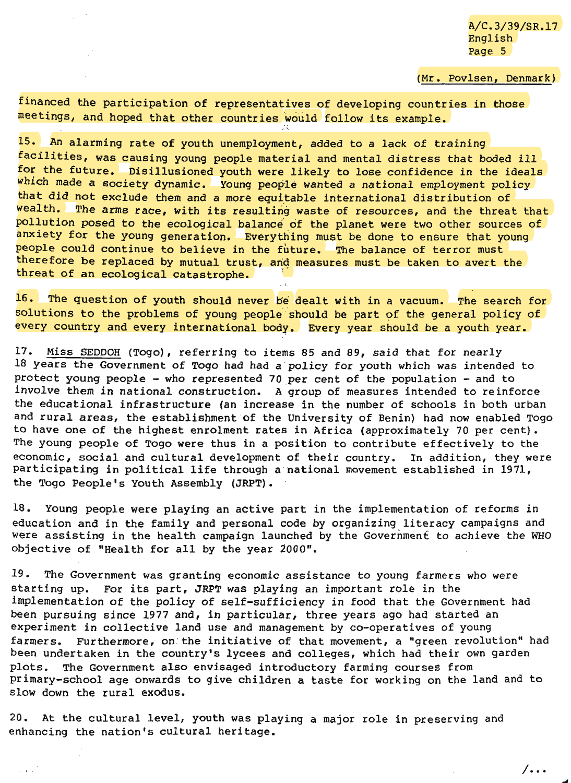$/ \cdots$ 

(Mr. Povlsen, Denmark)

financed the participation of representatives of developing countries in those meetings, and hoped that other countries would follow its example.

15. An alarming rate of youth unemployment, added to a lack of training facilities, was causing young people material and mental distress that boded ill for the future. Disillusioned youth were likely to lose confidence in the ideals which made a society dynamic. Young people wanted a national employment policy that did not exclude them and a more equitable international distribution of wealth. The arms race, with its resulting waste of resources, and the threat that pollution posed to the ecological balance of the planet were two other sources of anxiety for the young generation. Everything must be done to ensure that young people could continue to believe in the future. The balance of terror must therefore be replaced by mutual trust, and measures must be taken to avert the threat of an ecological catastrophe.

 $16.$  The question of youth should never be dealt with in a vacuum. The search for solutions to the problems of young people should be part of the general policy of every country and every international body. Every year should be a youth year.

17. Miss SEDDOH (Togo), referring to items 85 and 89, said that for nearly 18 years the Government of Togo had had a policy for youth which was intended to protect young people  $-$  who represented 70 per cent of the population  $-$  and to involve them *in* national construction. A group of measures intended to reinforce the educational infrastructure (an increase in the number of schools in both urban and rural areas, the establishment of the University of Benin) had now enabled Togo to have one of the highest enrolment rates in Africa (approximately 70 per cent). The young people of Togo were thus in a position to contribute effectively to the economic, social and cultural development of their country. In addition, they were participating in political life through a national movement established in 1971, the Togo People's Youth Assembly (JRPT).

18. Young people were playing an active part in the implementation of reforms in education and in the family and personal code by organizing literacy campaigns and were assisting in the health campaign launched by the Government to achieve the WHO objective of "Health for all by the year *1000".* 

19. The Government was granting economic assistance to young farmers who were starting up. For its part, JRPT was playing an important role in the implementation of the policy of self-sufficiency in food that the Government had been pursuing since 1977 and, in particular, three years ago had started an experiment *in* collective land use and management by co-operatives of young farmers. Furthermore, on the initiative of that movement, a "green revolution" had been undertaken in the country's lycees and colleges, which had their own garden plots. The Government also envisaged introductory farming courses from primary-school age onwards to give children a taste for working on the land and to slow down the rural exodus.

20. At the cultural level, youth was playing a major role in preserving and enhancing the nation's cultural heritage.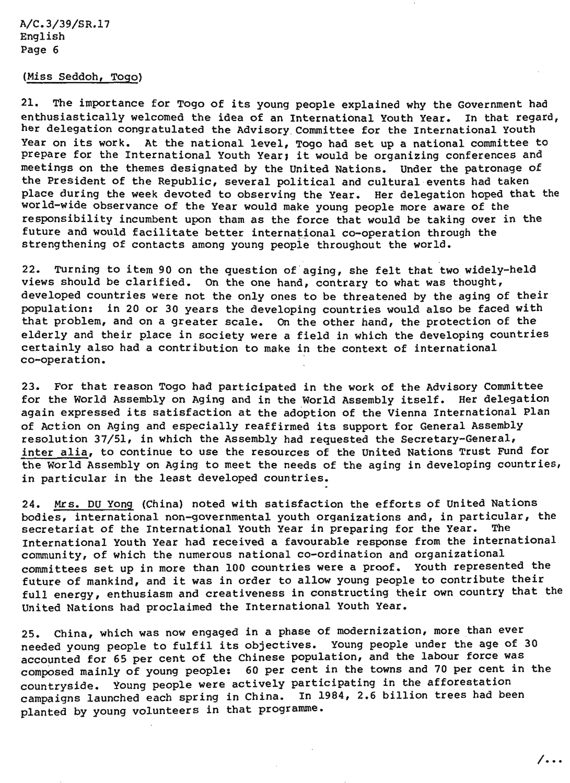# (Miss Seddoh, Togo)

21. The importance for Togo of its young people explained why the Government had enthusiastically welcomed the idea of an International Youth Year. In that regard, her delegation congratulated the Advisory. Committee for the International Youth Year on its work. At the national level, Togo had set up a national committee to prepare for the International Youth Year; it would be organizing conferences and meetings on the themes designated by the United Nations. Under the patronage of the President of the Republic, several political and cultural events had taken place during the week devoted to observing the Year. Her delegation hoped that the world-wide observance of the Year would make young people more aware of the responsibility incumbent upon tham as the force that would be taking over in the future and would facilitate better international co-operation through the strengthening of contacts among young people throughout the world.

22. TUrning to item 90 on the question of'aging, she felt that two widely-held views should be clarified. On the one hand, contrary to what was thought, developed countries were not the only ones to be threatened by the aging of their population: in 20 or 30 years the developing countries would also be faced with that problem, and on a greater scale. on the other hand, the protection of the elderly and their place in society were a field in which the developing countries certainly also had a contribution to make in the context of international co-operation.

23. For that reason Togo had participated in the work of the Advisory Committee for the World Assembly on Aging and in the World Assembly itself. Her delegation again expressed its satisfaction at the adoption of the Vienna International Plan of Action on Aging and especially reaffirmed its support for General Assembly resolution 37/51, in which the Assembly had requested the Secretary-General, inter alia, to continue to use the resources of the United Nations Trust Fund for the world Assembly on Aging to meet the needs of the aging in developing countries, in particular in the least developed countries.

24. Mrs. DU Yong (China) noted with satisfaction the efforts of United Nations bodies, international non-governmental youth organizations and, in particular, the secretariat of the International Youth Year in preparing for the Year. The International Youth Year had received a favourable response from the international community, of which the numerous national co-ordination and organizational committees set up in more than 100 countries were a proof. Youth represented the future of mankind, and it was in order to allow young people to contribute their full energy, enthusiasm and creativeness in constructing their own country that the United Nations had proclaimed the International Youth Year.

25. China, which was now engaged in a phase of modernization, more than ever needed young people to fulfil its objectives. Young people under the age of 30 accounted for 65 per cent of the Chinese population, and the labour force was compased mainly of young people: 60 per cent in the towns and 70 per cent in the countryside. Young people were actively participating in the afforestation campaigns launched each spring in China. In 1984, 2.6 billion trees had been planted by young volunteers in that programme.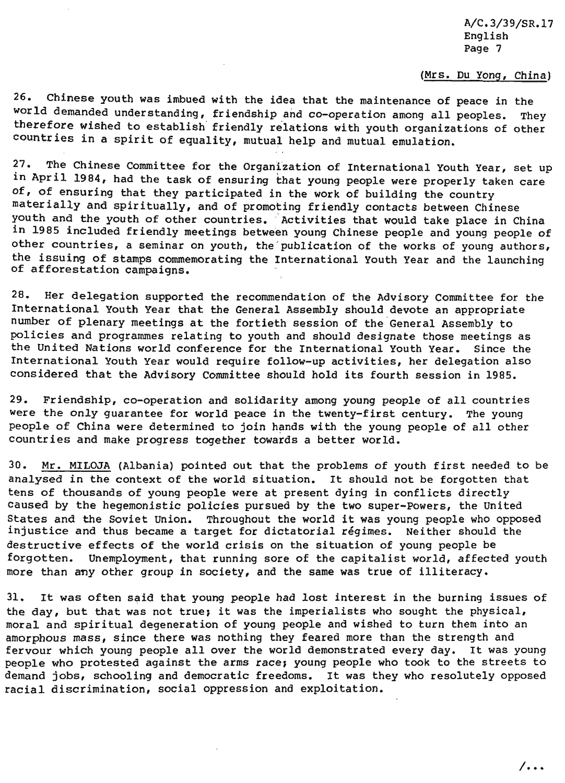#### (Mrs. Du Yong, China)

26. Chinese youth was imbued with the idea that the maintenance of peace in the world demanded understanding, friendship and co-operation among all peoples. They therefore wished to establish' friendly relations with youth organizations of other countries in a spirit of equality, mutual help and mutual emulation.

27. The Chinese Committee for the Organization of International Youth Year, set up in April 1984, had the task of ensuring that young people were properly taken care of, of ensuring that they participated in the work of building the country materially and spiritually, and of promoting friendly contacts between Chinese youth and the youth of other countries. Activities that would take place in China in 1985 included friendly meetings between young Chinese people and young people of other countries, a seminar on youth, the publication of the works of young authors, the issuing of stamps commemorating the International Youth Year and the launching<br>of afforestation campaigns.

28. Her delegation supported the recommendation of the Advisory Committee for the International Youth Year that the General Assembly should devote an appropriate number of plenary meetings at the fortieth session of the General Assembly to policies and programmes relating to youth and should designate those meetings as the United Nations world conference for the International Youth Year. Since the International Youth Year would require follow-up activities, her delegation also considered that the Advisory Committee should hold its fourth session in 1985.

29. Friendship, co-operation and solidarity among young people of all countries were the only guarantee for world peace in the twenty-first century. The young people of China were determined to join hands with the young people of all other countries and make progress together towards a better world.

30. Mr. MILOJA (Albania) pointed out that the problems of youth first needed to be analysed *in* the context of the world situation. It should not be forgotten that tens of thousands of young people were at present dying in conflicts directly caused by the hegemonistic policies pursued by the two super-Powers, the United States and the Soviet Union. Throughout the world it was young people who opposed injustice and thus became a target for dictatorial regimes. Neither should the destructive effects of the world crisis on the situation of young people be forgotten. Unemployment, that running sore of the capitalist world, affected youth more than any other group in society, and the same was true of illiteracy.

31. It was often said that young people had lost interest in the burning issues of the day, but that was not true; it was the imperialists who sought the physical, moral and spiritual degeneration of young people and wished to turn them into an amorphous mass, since there was nothing they feared more than the strength and fervour which young people all over the world demonstrated every day. It was young people who protested against the arms race; young people who took to the streets to demand jobs, schooling and democratic freedoms. It was they who resolutely opposed racial discrimination, social oppression and exploitation.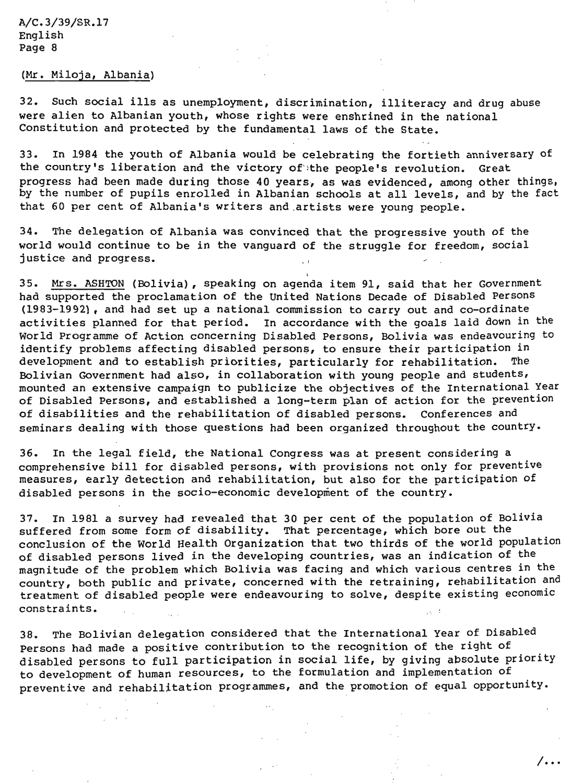# (Mr. Miloja, Albania)

32. Such social ills as unemployment, discrimination, illiteracy and drug abuse were alien to Albanian youth, whose rights were enshrined in the national Constitution and protected by the fundamental laws of the State.

33. In 1984 the youth of Albania would be celebrating the fortieth anniversary of the country's liberation and the victory of the people's revolution. Great progress had been made during those 40 years, as was evidenced, among other things, by the number of pupils enrolled in Albanian schools at all levels, and by the fact that 60 per cent of Albania's writers and .artists were young people.

34. The delegation of Albania was convinced that the progressive youth of the world would continue to be in the vanguard of the struggle for freedom, social justice and progress.

35. Mrs. ASHTON (Bolivia), speaking on agenda item 91, said that her Government had supported the proclamation of the United Nations Decade of Disabled Persons (1983-1992) , and had set up a national commission to carry out and co-ordinate activities planned for that period. In accordance with the goals laid down in the World Programme of Action concerning Disabled Persons, Bolivia was endeavouring to identify problems affecting disabled persons, to ensure their participation in development and to establish priorities, particularly for rehabilitation. The Bolivian Government had also, in collaboration with young people and students, mounted an extensive campaign to publicize the objectives of the International Year of Disabled Persons, and established a long-term plan of action for the prevention of disabilities and the rehabilitation of disabled persons. Conferences and seminars dealing with those questions had been organized throughout the country.

36. In the legal field, the National Congress was at present considering a comprehensive bill for disabled persons, with provisions not only for preventive measures, early detection and rehabilitation, but also for the participation of disabled persons in the socio-economic development of the country.

37. In 1981 a survey had revealed that 30 per cent of the population of Bolivia suffered from some form of disability. That percentage, which bore out the conclusion of the World Health Organization that two thirds of the world population of disabled persons lived in the developing countries, was an indication of the magnitude of the problem which Bolivia was facing and which various centres in the country, both public and private, concerned with the retraining, rehabilitation and treatment of disabled people were endeavouring to solve, despite existing economic constraints.

38. The Bolivian delegation considered that the International Year of Disabled Persons had made a positive contribution to the recognition of the right of disabled persons to full participation in social life, by giving absolute priority to development of human resources, to the formulation and implementation of preventive and rehabilitation programmes, and the promotion of equal opportunity.

 $/$ ...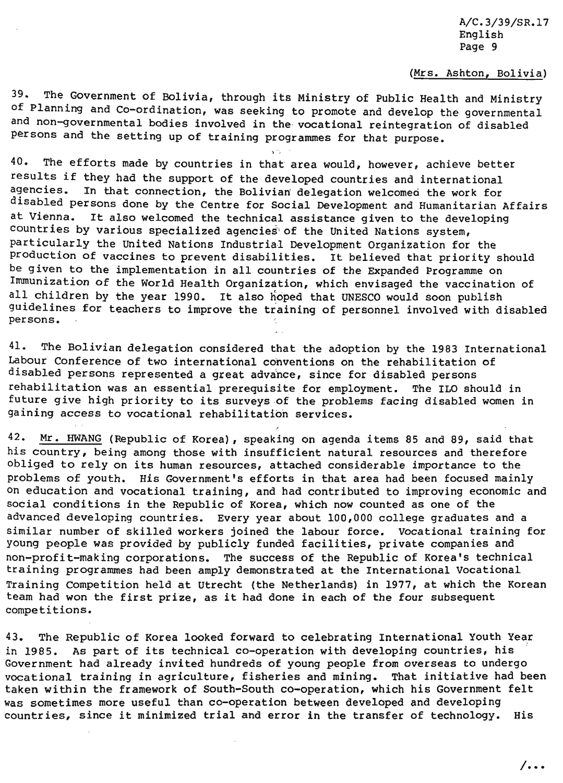# (Mrs. Ashton, Bolivia)

39. The Government of Bolivia, through its Ministry of Public Health and Ministry of Planning and Co-ordination, was seeking to promote and develop the governmental and non-governmental bodies involved in the vocational reintegration of disabled persons and the setting up of training programmes for that purpose.

 $\sqrt{v_{\rm c}}$ 

40. The efforts made by countries in that area would, however, achieve better results if they had the support of the developed countries and international<br>agencies. In that connection, the Bolivian delegation welcomed the work for In that connection, the Bolivian delegation welcomed the work for disabled persons done by the Centre for Social Development and Humanitarian Affairs at Vienna. It also welcomed the technical assistance given to the developing countries by various specialized agencies' of the United Nations system, particularly the United Nations Industrial Development Organization for the production of vaccines to prevent disabilities. It believed that priority should be given to the implementation in all countries of the Expanded Programme on Immunization of the World Health Organization, which envisaged the vaccination of all children by the year 1990. It also hoped that UNESCO would soon publish guidelines for teachers to improve the training of personnel involved with disabled persons.

41. The Bolivian delegation considered that the adoption by the 1983 International Labour Conference of two international conventions on the rehabilitation of disabled persons represented a great advance, since for disabled persons rehabilitation was an essential prerequisite for employment. The ILO should in future give high priority to its surveys of the problems facing disabled women in gaining access to vocational rehabilitation services.

42. Mr. HWANG (Republic of Korea), speaking on agenda items 85 and 89, said that his country, being among those with insufficient natural resources and therefore obliged to rely on its human resources, attached considerable importance to the problems of youth. His Government's efforts in that area had been focused mainly on education and vocational training, and had contributed to improving economic and social conditions in the Republic of Korea, which now counted as one of the advanced developing countries. Every year about 100,000 college graduates and a similar number of skilled workers joined the labour force. Vocational training for young people was provided by publicly funded facilities, private companies and non-profit-making corporations. The success of the Republic of Korea's technical training programmes had been amply demonstrated at the International Vocational Training Competition held at Utrecht (the Netherlands) in 1977, at which the Korean team had won the first prize, as it had done in each of the four subsequent competitions.

43. The Republic of Korea looked forward to celebrating International Youth Year in 1985. As part of its technical co-operation with developing countries, his · Government had already invited hundreds of young people from overseas to undergo vocational training in agriculture, fisheries and mining. That initiative had been taken within the framework of South-South co-operation, which his Government felt was sometimes more useful than co-operation between developed and developing countries, since it minimized trial and error in the transfer of technology. His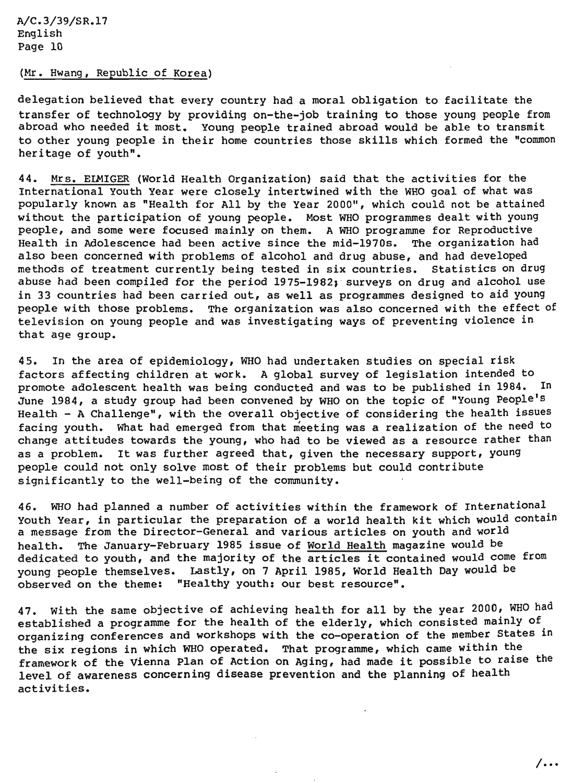# (Mr. Hwang, Republic of Korea)

delegation believed that every country had a moral obligation to facilitate the transfer of technology by providing on-the-job training to those young people from abroad who needed it most. Young people trained abroad would be able to transmit to other young people in their home countries those skills which formed the "common heritage of youth".

44. Mrs. ELMIGER (World Health Organization) said that the activities for the International Youth Year were closely intertwined with the WHO goal of what was popularly known as "Health for All by the Year 2000", which could not be attained without the participation of young people. Most WHO programmes dealt with young people, and some were focused mainly on them. A WHO programme for Reproductive Health in Adolescence had been active since the mid-1970s. The organization had also been concerned with problems of alcohol and drug abuse, and had developed methods of treatment currently being tested in six countries. Statistics on drug abuse had been compiled for the period 1975-1982; surveys on drug and alcohol use in 33 countries had been carried out, as well as programmes designed to aid young people with those problems. The organization was also concerned with the effect of television on young people and was investigating ways of preventing violence in that age group.

45. In the area of epidemiology, WHO had undertaken studies on special risk factors affecting children at work. A global survey of legislation intended to promote adolescent health was being conducted and was to be published in 1984. In June 1984, a study group had been convened by WHO on the topic of "Young People's Health- A Challenge", with the overall objective of considering the health issues facing youth. What had emerged from that meeting was a realization of the need to change attitudes towards the young, who had to be viewed as a resource rather than as a problem. It was further agreed that, given the necessary support, young people could not only solve most of their problems but could contribute significantly to the well-being of the community.

46. WHO had planned a number of activities within the framework of International Youth Year, in particular the preparation of a world health kit which would contain a message from the Director-General and various articles on youth and world health. The January-February 1985 issue of World Health magazine would be dedicated to youth, and the majority of the articles it contained would come from young people themselves. Lastly, on 7 April 1985, World Health Day would be observed on the theme: "Healthy youth: our best resource".

47. With the same objective of achieving health for all by the year 2000, WHO had established a programme for the health of the elderly, which consisted mainly of organizing conferences and workshops with the co-operation of the member States in the six regions in which WHO operated. That programme, which came within the framework of the Vienna Plan of Action on Aging, had made it possible to raise the level of awareness concerning disease prevention and the planning of health activities.